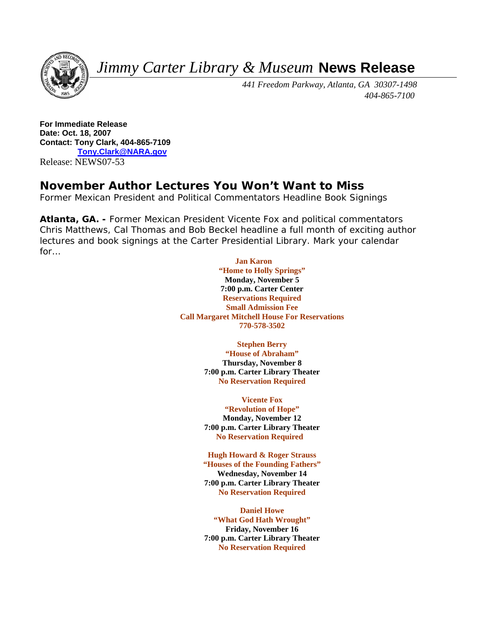*Jimmy Carter Library & Museum* **News Release**



 *441 Freedom Parkway, Atlanta, GA 30307-1498 404-865-7100* 

**For Immediate Release Date: Oct. 18, 2007 Contact: Tony Clark, 404-865-7109 [Tony.Clark@NARA.gov](mailto:Tony.Clark@NARA.gov)** Release: NEWS07-53

# **November Author Lectures You Won't Want to Miss**

*Former Mexican President and Political Commentators Headline Book Signings* 

**Atlanta, GA. -** Former Mexican President Vicente Fox and political commentators Chris Matthews, Cal Thomas and Bob Beckel headline a full month of exciting author lectures and book signings at the Carter Presidential Library. Mark your calendar for…

## **Jan Karon**

**"Home to Holly Springs" Monday, November 5 7:00 p.m. Carter Center Reservations Required Small Admission Fee Call Margaret Mitchell House For Reservations 770-578-3502** 

#### **Stephen Berry**

**"House of Abraham" Thursday, November 8 7:00 p.m. Carter Library Theater No Reservation Required** 

#### **Vicente Fox**

**"Revolution of Hope" Monday, November 12 7:00 p.m. Carter Library Theater No Reservation Required** 

#### **Hugh Howard & Roger Strauss**

**"Houses of the Founding Fathers" Wednesday, November 14 7:00 p.m. Carter Library Theater No Reservation Required** 

### **Daniel Howe "What God Hath Wrought" Friday, November 16**

**7:00 p.m. Carter Library Theater No Reservation Required**